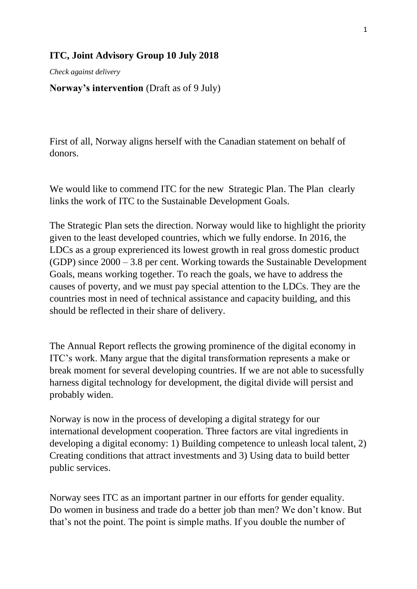## **ITC, Joint Advisory Group 10 July 2018**

*Check against delivery*

## **Norway's intervention** (Draft as of 9 July)

First of all, Norway aligns herself with the Canadian statement on behalf of donors.

We would like to commend ITC for the new Strategic Plan. The Plan clearly links the work of ITC to the Sustainable Development Goals.

The Strategic Plan sets the direction. Norway would like to highlight the priority given to the least developed countries, which we fully endorse. In 2016, the LDCs as a group exprerienced its lowest growth in real gross domestic product (GDP) since 2000 – 3.8 per cent. Working towards the Sustainable Development Goals, means working together. To reach the goals, we have to address the causes of poverty, and we must pay special attention to the LDCs. They are the countries most in need of technical assistance and capacity building, and this should be reflected in their share of delivery.

The Annual Report reflects the growing prominence of the digital economy in ITC's work. Many argue that the digital transformation represents a make or break moment for several developing countries. If we are not able to sucessfully harness digital technology for development, the digital divide will persist and probably widen.

Norway is now in the process of developing a digital strategy for our international development cooperation. Three factors are vital ingredients in developing a digital economy: 1) Building competence to unleash local talent, 2) Creating conditions that attract investments and 3) Using data to build better public services.

Norway sees ITC as an important partner in our efforts for gender equality. Do women in business and trade do a better job than men? We don't know. But that's not the point. The point is simple maths. If you double the number of